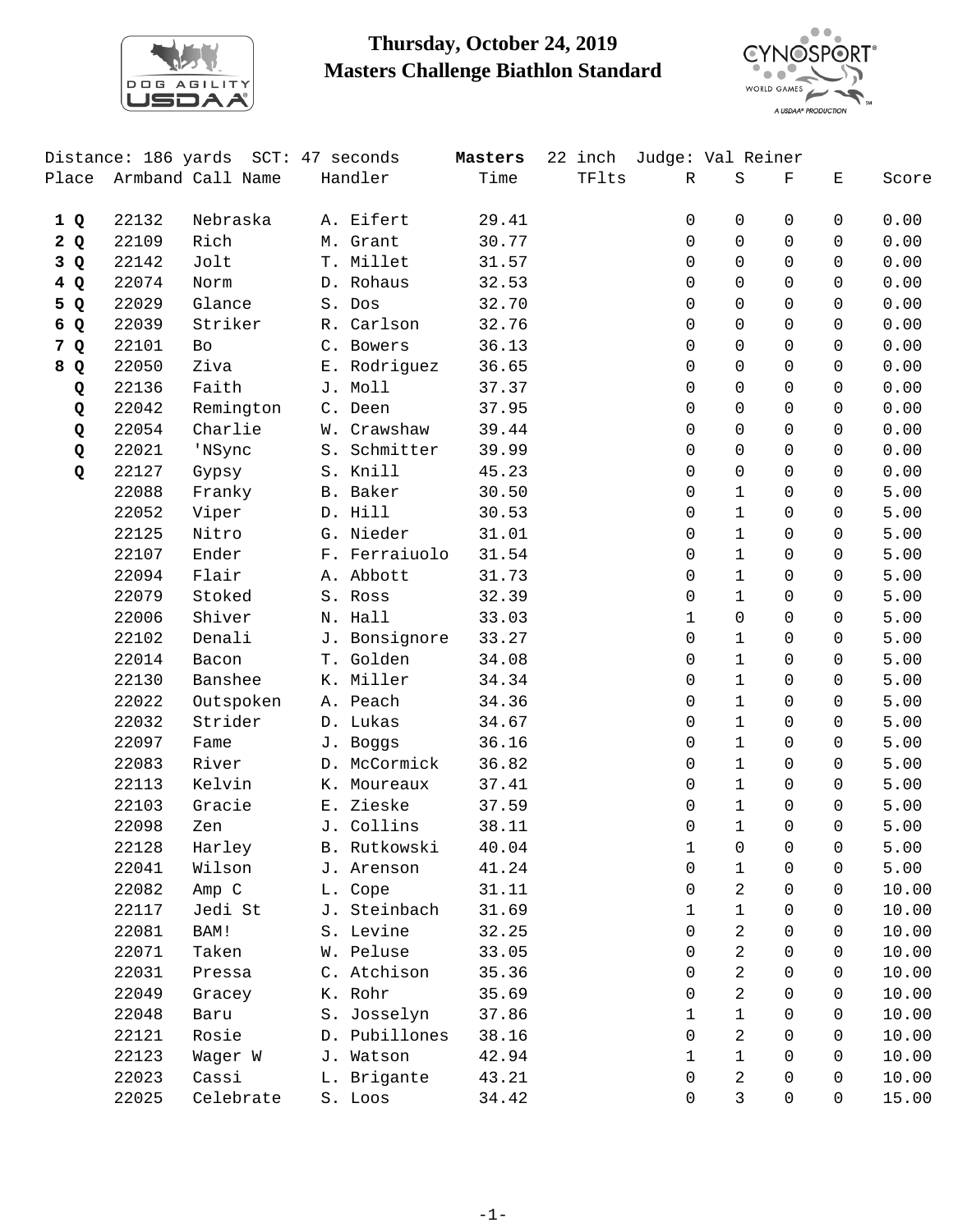

## **Thursday, October 24, 2019 Masters Challenge Biathlon Standard**



|     |       | Distance: 186 yards SCT: 47 seconds |             |               | Masters | 22 inch Judge: Val Reiner |             |              |              |              |       |
|-----|-------|-------------------------------------|-------------|---------------|---------|---------------------------|-------------|--------------|--------------|--------------|-------|
|     |       | Place Armband Call Name             | Handler     |               | Time    | TFlts                     | $\mathbb R$ | $\rm S$      | $\mathbf F$  | Ε            | Score |
| 1Q  | 22132 | Nebraska                            | A. Eifert   |               | 29.41   |                           | 0           | $\mathbf 0$  | $\Omega$     | 0            | 0.00  |
| 2Q  | 22109 | Rich                                | M. Grant    |               | 30.77   |                           | 0           | $\Omega$     | $\Omega$     | $\Omega$     | 0.00  |
| 3Q  | 22142 | Jolt                                | T. Millet   |               | 31.57   |                           | 0           | $\mathbf 0$  | $\Omega$     | $\Omega$     | 0.00  |
| 4 Q | 22074 | Norm                                | D. Rohaus   |               | 32.53   |                           | 0           | $\mathbf 0$  | $\Omega$     | $\Omega$     | 0.00  |
| 5 Q | 22029 | Glance                              | S. Dos      |               | 32.70   |                           | 0           | $\Omega$     | 0            | $\Omega$     | 0.00  |
| 6 Q | 22039 | Striker                             | R. Carlson  |               | 32.76   |                           | 0           | $\Omega$     | $\Omega$     | $\Omega$     | 0.00  |
| 7 Q | 22101 | Bo                                  | C. Bowers   |               | 36.13   |                           | 0           | $\mathbf 0$  | $\mathbf 0$  | $\Omega$     | 0.00  |
| 8 Q | 22050 | Ziva                                |             | E. Rodriguez  | 36.65   |                           | 0           | $\mathsf{O}$ | $\Omega$     | $\Omega$     | 0.00  |
| Q   | 22136 | Faith                               | J. Moll     |               | 37.37   |                           | 0           | $\Omega$     | 0            | $\Omega$     | 0.00  |
| Q   | 22042 | Remington                           | C. Deen     |               | 37.95   |                           | 0           | $\Omega$     | $\Omega$     | $\Omega$     | 0.00  |
| Q   | 22054 | Charlie                             | W. Crawshaw |               | 39.44   |                           | 0           | $\mathbf 0$  | $\Omega$     | $\Omega$     | 0.00  |
| Q   | 22021 | 'NSync                              |             | S. Schmitter  | 39.99   |                           | 0           | $\mathsf{O}$ | $\Omega$     | $\Omega$     | 0.00  |
| Q   | 22127 | Gypsy                               | S. Knill    |               | 45.23   |                           | 0           | $\mathbf 0$  | 0            | $\Omega$     | 0.00  |
|     | 22088 | Franky                              | B. Baker    |               | 30.50   |                           | 0           | $\mathbf{1}$ | 0            | 0            | 5.00  |
|     | 22052 | Viper                               | D. Hill     |               | 30.53   |                           | 0           | $\mathbf{1}$ | $\Omega$     | 0            | 5.00  |
|     | 22125 | Nitro                               | G. Nieder   |               | 31.01   |                           | 0           | $\mathbf{1}$ | $\mathsf{O}$ | $\mathsf{O}$ | 5.00  |
|     | 22107 | Ender                               |             | F. Ferraiuolo | 31.54   |                           | 0           | $\mathbf{1}$ | $\Omega$     | 0            | 5.00  |
|     | 22094 | Flair                               | A. Abbott   |               | 31.73   |                           | 0           | $\mathbf{1}$ | $\Omega$     | $\Omega$     | 5.00  |
|     | 22079 | Stoked                              | S. Ross     |               | 32.39   |                           | 0           | $\mathbf{1}$ | $\Omega$     | $\Omega$     | 5.00  |
|     | 22006 | Shiver                              | N. Hall     |               | 33.03   |                           | $\mathbf 1$ | $\mathsf{O}$ | $\mathbf 0$  | $\mathbf 0$  | 5.00  |
|     | 22102 | Denali                              |             | J. Bonsignore | 33.27   |                           | 0           | $\mathbf{1}$ | $\Omega$     | 0            | 5.00  |
|     | 22014 | Bacon                               | T. Golden   |               | 34.08   |                           | 0           | $\mathbf{1}$ | 0            | $\Omega$     | 5.00  |
|     | 22130 | Banshee                             | K. Miller   |               | 34.34   |                           | $\Omega$    | $\mathbf{1}$ | $\Omega$     | 0            | 5.00  |
|     | 22022 | Outspoken                           | A. Peach    |               | 34.36   |                           | 0           | $\mathbf{1}$ | $\mathbf 0$  | $\mathbf 0$  | 5.00  |
|     | 22032 | Strider                             | D. Lukas    |               | 34.67   |                           | 0           | $\mathbf{1}$ | 0            | $\Omega$     | 5.00  |
|     | 22097 | Fame                                | J. Boggs    |               | 36.16   |                           | 0           | $\mathbf{1}$ | 0            | $\Omega$     | 5.00  |
|     | 22083 | River                               |             | D. McCormick  | 36.82   |                           | 0           | $\mathbf{1}$ | $\Omega$     | $\Omega$     | 5.00  |
|     | 22113 | Kelvin                              | K. Moureaux |               | 37.41   |                           | 0           | $\mathbf 1$  | 0            | $\Omega$     | 5.00  |
|     | 22103 | Gracie                              | E. Zieske   |               | 37.59   |                           | 0           | $\mathbf{1}$ | $\Omega$     | $\Omega$     | 5.00  |
|     | 22098 | Zen                                 | J. Collins  |               | 38.11   |                           | 0           | $\mathbf{1}$ | $\Omega$     | $\Omega$     | 5.00  |
|     | 22128 | Harley                              |             | B. Rutkowski  | 40.04   |                           | 1           | $\Omega$     | $\cap$       | $\Omega$     | 5.00  |
|     | 22041 | Wilson                              | J. Arenson  |               | 41.24   |                           | 0           | 1            | 0            | 0            | 5.00  |
|     | 22082 | Amp C                               | L. Cope     |               | 31.11   |                           | 0           | 2            | 0            | $\mathbf 0$  | 10.00 |
|     | 22117 | Jedi St                             |             | J. Steinbach  | 31.69   |                           | 1           | $\mathbf{1}$ | 0            | 0            | 10.00 |
|     | 22081 | BAM!                                | S. Levine   |               | 32.25   |                           | 0           | 2            | 0            | 0            | 10.00 |
|     | 22071 | Taken                               | W. Peluse   |               | 33.05   |                           | 0           | 2            | 0            | $\Omega$     | 10.00 |
|     | 22031 | Pressa                              | C. Atchison |               | 35.36   |                           | 0           | 2            | 0            | $\Omega$     | 10.00 |
|     | 22049 | Gracey                              | K. Rohr     |               | 35.69   |                           | 0           | 2            | $\Omega$     | $\Omega$     | 10.00 |
|     | 22048 | Baru                                | S. Josselyn |               | 37.86   |                           | 1           | $\mathbf{1}$ | 0            | 0            | 10.00 |
|     | 22121 | Rosie                               |             | D. Pubillones | 38.16   |                           | $\Omega$    | 2            | 0            | $\Omega$     | 10.00 |
|     | 22123 | Wager W                             | J. Watson   |               | 42.94   |                           | 1           | $\mathbf{1}$ | 0            | $\Omega$     | 10.00 |
|     | 22023 | Cassi                               | L. Brigante |               | 43.21   |                           | 0           | 2            | 0            | $\Omega$     | 10.00 |
|     | 22025 | Celebrate                           | S. Loos     |               | 34.42   |                           | 0           | 3            | 0            | 0            | 15.00 |
|     |       |                                     |             |               |         |                           |             |              |              |              |       |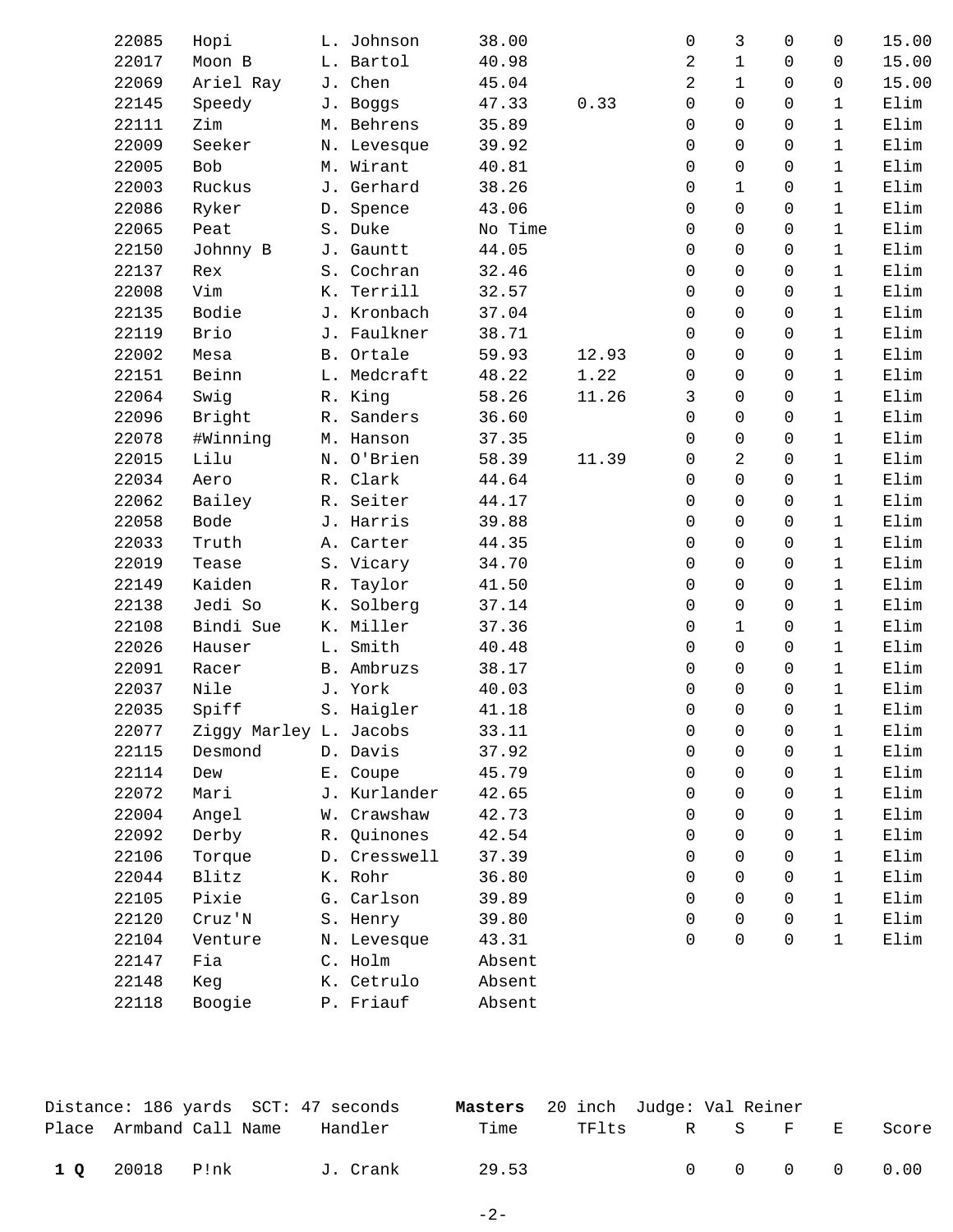| 22085 | Hopi                   | L. Johnson   | 38.00   |       | $\mathbf 0$         | 3            | 0            | 0            | 15.00 |
|-------|------------------------|--------------|---------|-------|---------------------|--------------|--------------|--------------|-------|
| 22017 | Moon B                 | L. Bartol    | 40.98   |       | 2                   | $\mathbf{1}$ | $\mathbf 0$  | 0            | 15.00 |
| 22069 | Ariel Ray              | J. Chen      | 45.04   |       | $\overline{a}$      | $\mathbf{1}$ | $\Omega$     | 0            | 15.00 |
| 22145 | Speedy                 | J. Boggs     | 47.33   | 0.33  | $\mathsf{O}\xspace$ | $\mathbf 0$  | $\Omega$     | $\mathbf{1}$ | Elim  |
| 22111 | Zim                    | M. Behrens   | 35.89   |       | $\Omega$            | $\Omega$     | $\Omega$     | $\mathbf{1}$ | Elim  |
| 22009 | Seeker                 | N. Levesque  | 39.92   |       | $\Omega$            | $\Omega$     | $\Omega$     | $\mathbf{1}$ | Elim  |
| 22005 | Bob                    | M. Wirant    | 40.81   |       | 0                   | $\mathbf 0$  | $\mathbf 0$  | $\mathbf{1}$ | Elim  |
| 22003 | Ruckus                 | J. Gerhard   | 38.26   |       | $\mathsf{O}$        | $\mathbf{1}$ | $\mathsf{O}$ | $\mathbf{1}$ | Elim  |
| 22086 | Ryker                  | D. Spence    | 43.06   |       | $\Omega$            | $\Omega$     | $\Omega$     | $\mathbf{1}$ | Elim  |
| 22065 | Peat                   | S. Duke      | No Time |       | 0                   | $\Omega$     | $\Omega$     | $\mathbf{1}$ | Elim  |
| 22150 | Johnny B               | J. Gauntt    | 44.05   |       | 0                   | $\mathbf 0$  | $\Omega$     | $\mathbf{1}$ | Elim  |
| 22137 | Rex                    | S. Cochran   | 32.46   |       | $\mathsf{O}$        | $\mathsf{O}$ | $\mathsf{O}$ | $\mathbf{1}$ | Elim  |
| 22008 | Vim                    | K. Terrill   | 32.57   |       | 0                   | $\Omega$     | $\Omega$     | $\mathbf{1}$ | Elim  |
| 22135 | Bodie                  | J. Kronbach  | 37.04   |       | 0                   | $\Omega$     | $\Omega$     | $\mathbf{1}$ | Elim  |
| 22119 | Brio                   | J. Faulkner  | 38.71   |       | $\Omega$            | $\mathbf 0$  | $\mathbf 0$  | $\mathbf{1}$ | Elim  |
| 22002 | Mesa                   | B. Ortale    | 59.93   | 12.93 | 0                   | $\mathsf{O}$ | $\mathsf{O}$ | $\mathbf{1}$ | Elim  |
| 22151 | Beinn                  | L. Medcraft  | 48.22   | 1.22  | 0                   | $\mathbf 0$  | $\Omega$     | $\mathbf{1}$ | Elim  |
| 22064 | Swig                   | R. King      | 58.26   | 11.26 | 3                   | $\Omega$     | $\Omega$     | $\mathbf{1}$ | Elim  |
| 22096 | Bright                 | R. Sanders   | 36.60   |       | 0                   | $\mathbf 0$  | $\mathbf 0$  | $\mathbf{1}$ | Elim  |
| 22078 | #Winning               | M. Hanson    | 37.35   |       | 0                   | $\mathsf{O}$ | $\mathbf 0$  | $\mathbf{1}$ | Elim  |
| 22015 | Lilu                   | N. O'Brien   | 58.39   | 11.39 | 0                   | 2            | $\mathbf 0$  | $\mathbf{1}$ | Elim  |
| 22034 | Aero                   | R. Clark     | 44.64   |       | $\Omega$            | $\Omega$     | $\Omega$     | $\mathbf{1}$ | Elim  |
| 22062 | Bailey                 | R. Seiter    | 44.17   |       | $\Omega$            | $\Omega$     | $\Omega$     | $\mathbf{1}$ | Elim  |
| 22058 | <b>Bode</b>            | J. Harris    | 39.88   |       | 0                   | $\mathsf{O}$ | $\mathbf 0$  | $\mathbf{1}$ | Elim  |
| 22033 | Truth                  | A. Carter    | 44.35   |       | 0                   | $\mathbf 0$  | $\mathbf 0$  | $\mathbf{1}$ | Elim  |
| 22019 | Tease                  | S. Vicary    | 34.70   |       | $\Omega$            | $\Omega$     | $\Omega$     | $\mathbf{1}$ | Elim  |
| 22149 | Kaiden                 | R. Taylor    | 41.50   |       | $\Omega$            | $\Omega$     | $\Omega$     | $\mathbf{1}$ | Elim  |
| 22138 | Jedi So                | K. Solberg   | 37.14   |       | 0                   | 0            | $\mathbf 0$  | $\mathbf{1}$ | Elim  |
| 22108 | Bindi Sue              | K. Miller    | 37.36   |       | $\mathsf{O}$        | $\mathbf{1}$ | $\Omega$     | $\mathbf{1}$ | Elim  |
| 22026 | Hauser                 | L. Smith     | 40.48   |       | $\Omega$            | $\Omega$     | $\Omega$     | $\mathbf{1}$ | Elim  |
| 22091 | Racer                  | B. Ambruzs   | 38.17   |       | $\Omega$            | $\Omega$     | $\Omega$     | $\mathbf{1}$ | Elim  |
| 22037 | Nile                   | J. York      | 40.03   |       | 0                   | $\mathbf 0$  | $\mathbf 0$  | $\mathbf{1}$ | Elim  |
| 22035 | Spiff                  | S. Haigler   | 41.18   |       | 0                   | $\Omega$     | $\mathbf 0$  | $\mathbf{1}$ | Elim  |
| 22077 | Ziggy Marley L. Jacobs |              | 33.11   |       | 0                   | 0            | 0            | 1            | Elim  |
| 22115 | Desmond                | D. Davis     | 37.92   |       | 0                   | 0            | 0            | 1            | Elim  |
| 22114 | Dew                    | E. Coupe     | 45.79   |       | 0                   | 0            | $\Omega$     | $\mathbf{1}$ | Elim  |
| 22072 | Mari                   | J. Kurlander | 42.65   |       | 0                   | $\Omega$     | 0            | 1            | Elim  |
| 22004 | Angel                  | W. Crawshaw  | 42.73   |       | 0                   | $\Omega$     | $\Omega$     | 1            | Elim  |
| 22092 | Derby                  | R. Quinones  | 42.54   |       | 0                   | $\Omega$     | 0            | $\mathbf{1}$ | Elim  |
| 22106 | Torque                 | D. Cresswell | 37.39   |       | $\Omega$            | $\Omega$     | 0            | 1            | Elim  |
| 22044 | Blitz                  | K. Rohr      | 36.80   |       | 0                   | $\Omega$     | 0            | $\mathbf{1}$ | Elim  |
| 22105 | Pixie                  | G. Carlson   | 39.89   |       | 0                   | $\Omega$     | $\Omega$     | 1            | Elim  |
| 22120 | Cruz'N                 | S. Henry     | 39.80   |       | 0                   | 0            | 0            | $\mathbf{1}$ | Elim  |
| 22104 | Venture                | N. Levesque  | 43.31   |       | 0                   | $\Omega$     | 0            | $\mathbf{1}$ | Elim  |
| 22147 | Fia                    | C. Holm      | Absent  |       |                     |              |              |              |       |
| 22148 | Keg                    | K. Cetrulo   | Absent  |       |                     |              |              |              |       |
| 22118 | Boogie                 | P. Friauf    | Absent  |       |                     |              |              |              |       |
|       |                        |              |         |       |                     |              |              |              |       |

|                | Distance: 186 yards  SCT: 47 seconds |          | <b>Masters</b> 20 inch Judge: Val Reiner |                     |  |                                                     |
|----------------|--------------------------------------|----------|------------------------------------------|---------------------|--|-----------------------------------------------------|
|                | Place Armband Call Name              | Handler  | Time                                     | TFlts R S F E Score |  |                                                     |
| 1 0 20018 P!nk |                                      | J. Crank | 29.53                                    |                     |  | $\begin{matrix} 0 & 0 & 0 & 0 & 0 & 0 \end{matrix}$ |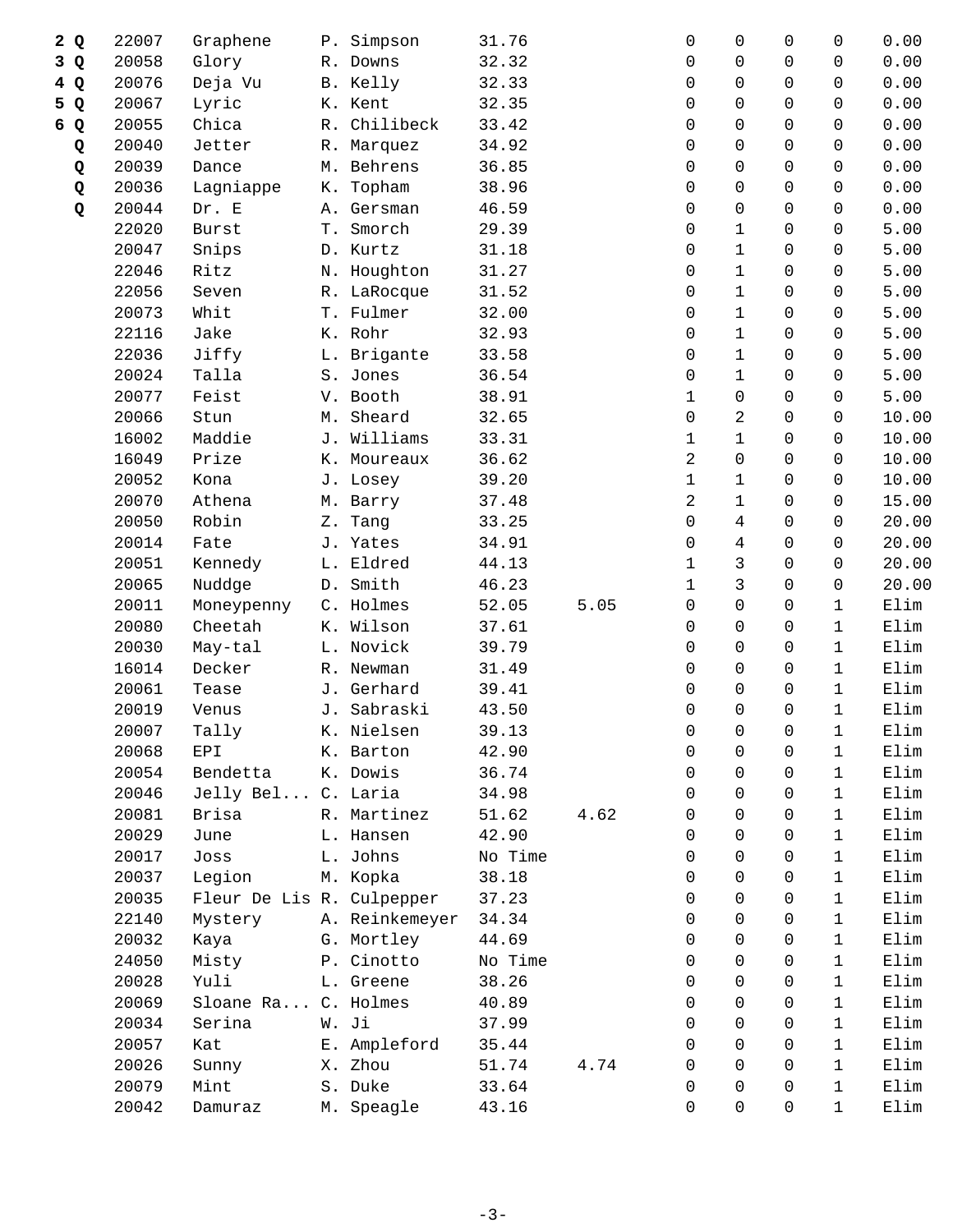|   | 2Q           | 22007 | Graphene                  |    | P. Simpson     | 31.76   |      | 0              | $\mathbf 0$    | $\Omega$     | $\mathbf 0$  | 0.00  |
|---|--------------|-------|---------------------------|----|----------------|---------|------|----------------|----------------|--------------|--------------|-------|
| 3 | Q            | 20058 | Glory                     |    | R. Downs       | 32.32   |      | 0              | 0              | $\Omega$     | 0            | 0.00  |
|   | 4 Q          | 20076 | Deja Vu                   |    | B. Kelly       | 32.33   |      | 0              | $\Omega$       | 0            | $\Omega$     | 0.00  |
| 5 | $\mathbf{Q}$ | 20067 | Lyric                     |    | K. Kent        | 32.35   |      | $\Omega$       | $\Omega$       | $\Omega$     | $\Omega$     | 0.00  |
|   | 6 Q          | 20055 | Chica                     |    | R. Chilibeck   | 33.42   |      | 0              | $\mathbf 0$    | 0            | $\Omega$     | 0.00  |
|   | Q            | 20040 | Jetter                    |    | R. Marquez     | 34.92   |      | 0              | 0              | 0            | 0            | 0.00  |
|   | Q            | 20039 | Dance                     |    | M. Behrens     | 36.85   |      | 0              | 0              | 0            | $\Omega$     | 0.00  |
|   | Q            | 20036 | Lagniappe                 | К. | Topham         | 38.96   |      | $\Omega$       | $\mathbf 0$    | 0            | $\Omega$     | 0.00  |
|   | Q            | 20044 | Dr. E                     |    | A. Gersman     | 46.59   |      | 0              | $\mathbf 0$    | 0            | 0            | 0.00  |
|   |              | 22020 | Burst                     |    | T. Smorch      | 29.39   |      | 0              | $\mathbf 1$    | 0            | $\Omega$     | 5.00  |
|   |              | 20047 | Snips                     |    | D. Kurtz       | 31.18   |      | 0              | $\mathbf{1}$   | 0            | $\Omega$     | 5.00  |
|   |              | 22046 | Ritz                      |    | N. Houghton    | 31.27   |      | $\Omega$       | $\mathbf{1}$   | 0            | $\Omega$     | 5.00  |
|   |              | 22056 | Seven                     |    | R. LaRocque    | 31.52   |      | 0              | $\mathbf 1$    | 0            | 0            | 5.00  |
|   |              | 20073 | Whit                      |    | T. Fulmer      | 32.00   |      | 0              | $\mathbf{1}$   | $\Omega$     | $\Omega$     | 5.00  |
|   |              | 22116 | Jake                      |    | K. Rohr        | 32.93   |      | 0              | $\mathbf{1}$   | 0            | $\Omega$     | 5.00  |
|   |              | 22036 | Jiffy                     |    | L. Brigante    | 33.58   |      | $\Omega$       | $\mathbf{1}$   | 0            | $\Omega$     | 5.00  |
|   |              | 20024 | Talla                     |    | S. Jones       | 36.54   |      | 0              | $\mathbf 1$    | 0            | $\mathbf 0$  | 5.00  |
|   |              | 20077 | Feist                     |    | V. Booth       | 38.91   |      | 1              | $\mathsf{O}$   | $\Omega$     | $\Omega$     | 5.00  |
|   |              | 20066 | Stun                      |    | M. Sheard      | 32.65   |      | 0              | 2              | 0            | 0            | 10.00 |
|   |              | 16002 | Maddie                    |    | J. Williams    | 33.31   |      | 1              | $\mathbf{1}$   | 0            | $\Omega$     | 10.00 |
|   |              | 16049 | Prize                     |    | K. Moureaux    | 36.62   |      | $\overline{2}$ | 0              | $\Omega$     | $\mathbf 0$  | 10.00 |
|   |              | 20052 | Kona                      |    | J. Losey       | 39.20   |      | $\mathbf 1$    | $\mathbf{1}$   | $\mathbf 0$  | $\mathsf{O}$ | 10.00 |
|   |              | 20070 | Athena                    |    | M. Barry       | 37.48   |      | $\overline{2}$ | $\mathbf{1}$   | 0            | 0            | 15.00 |
|   |              | 20050 | Robin                     | Ζ. | Tang           | 33.25   |      | 0              | 4              | 0            | $\Omega$     | 20.00 |
|   |              | 20014 | Fate                      |    | J. Yates       | 34.91   |      | 0              | $\overline{4}$ | 0            | $\mathbf 0$  | 20.00 |
|   |              | 20051 | Kennedy                   |    | L. Eldred      | 44.13   |      | 1              | 3              | $\mathbf 0$  | $\mathbf 0$  | 20.00 |
|   |              | 20065 | Nuddge                    |    | D. Smith       | 46.23   |      | 1              | $\mathbf{3}$   | 0            | 0            | 20.00 |
|   |              | 20011 | Moneypenny                |    | C. Holmes      | 52.05   | 5.05 | 0              | $\mathbf 0$    | 0            | $\mathbf{1}$ | Elim  |
|   |              | 20080 | Cheetah                   |    | K. Wilson      | 37.61   |      | $\Omega$       | $\mathbf 0$    | $\Omega$     | $\mathbf{1}$ | Elim  |
|   |              | 20030 | May-tal                   |    | L. Novick      | 39.79   |      | 0              | $\mathbf 0$    | 0            | $\mathbf{1}$ | Elim  |
|   |              | 16014 | Decker                    |    | R. Newman      | 31.49   |      | 0              | 0              | $\Omega$     | $\mathbf 1$  | Elim  |
|   |              | 20061 | Tease                     |    | J. Gerhard     | 39.41   |      | 0              | $\Omega$       | 0            | $\mathbf{1}$ | Elim  |
|   |              | 20019 | Venus                     |    | J. Sabraski    | 43.50   |      | 0              | $\Omega$       | 0            | $\mathbf{1}$ | Elim  |
|   |              | 20007 | Tally                     |    | K. Nielsen     | 39.13   |      | 0              | $\mathsf{O}$   | $\mathsf{O}$ | $\mathbf{1}$ | Elim  |
|   |              | 20068 | EPI                       |    | K. Barton      | 42.90   |      | 0              | 0              | 0            | 1            | Elim  |
|   |              | 20054 | Bendetta                  |    | K. Dowis       | 36.74   |      | $\Omega$       | $\Omega$       | 0            | $\mathbf{1}$ | Elim  |
|   |              | 20046 | Jelly Bel C. Laria        |    |                | 34.98   |      | 0              | $\Omega$       | $\Omega$     | $\mathbf{1}$ | Elim  |
|   |              | 20081 | Brisa                     |    | R. Martinez    | 51.62   | 4.62 | 0              | $\Omega$       | 0            | $\mathbf 1$  | Elim  |
|   |              | 20029 | June                      |    | L. Hansen      | 42.90   |      | $\Omega$       | $\Omega$       | 0            | $\mathbf{1}$ | Elim  |
|   |              | 20017 | Joss                      |    | L. Johns       | No Time |      | 0              | $\Omega$       | $\Omega$     | $\mathbf{1}$ | Elim  |
|   |              | 20037 | Legion                    |    | M. Kopka       | 38.18   |      | 0              | $\Omega$       | $\Omega$     | $\mathbf{1}$ | Elim  |
|   |              | 20035 | Fleur De Lis R. Culpepper |    |                | 37.23   |      | 0              | $\mathbf 0$    | $\Omega$     | $\mathbf{1}$ | Elim  |
|   |              | 22140 | Mystery                   |    | A. Reinkemeyer | 34.34   |      | 0              | $\mathbf 0$    | 0            | $\mathbf{1}$ | Elim  |
|   |              | 20032 | Kaya                      |    | G. Mortley     | 44.69   |      | 0              | $\Omega$       | $\Omega$     | $\mathbf{1}$ | Elim  |
|   |              | 24050 | Misty                     |    | P. Cinotto     | No Time |      | 0              | $\Omega$       | 0            | $\mathbf{1}$ | Elim  |
|   |              | 20028 | Yuli                      |    | L. Greene      | 38.26   |      | $\Omega$       | $\Omega$       | $\Omega$     | $\mathbf 1$  | Elim  |
|   |              | 20069 | Sloane Ra                 |    | C. Holmes      | 40.89   |      | 0              | $\mathsf{O}$   | $\Omega$     | $\mathbf{1}$ | Elim  |
|   |              | 20034 | Serina                    |    | W. Ji          | 37.99   |      | 0              | $\Omega$       | $\Omega$     | $\mathbf{1}$ | Elim  |
|   |              | 20057 | Kat                       |    | E. Ampleford   | 35.44   |      | 0              | $\Omega$       | $\Omega$     | $\mathbf{1}$ | Elim  |
|   |              | 20026 | Sunny                     |    | X. Zhou        | 51.74   | 4.74 | 0              | $\Omega$       | $\Omega$     | $\mathbf 1$  | Elim  |
|   |              | 20079 | Mint                      |    | S. Duke        | 33.64   |      | 0              | $\mathbf 0$    | 0            | $\mathbf{1}$ | Elim  |
|   |              |       |                           |    |                |         |      |                |                |              |              |       |
|   |              | 20042 | Damuraz                   |    | M. Speagle     | 43.16   |      | 0              | $\mathsf{O}$   | 0            | $\mathbf{1}$ | Elim  |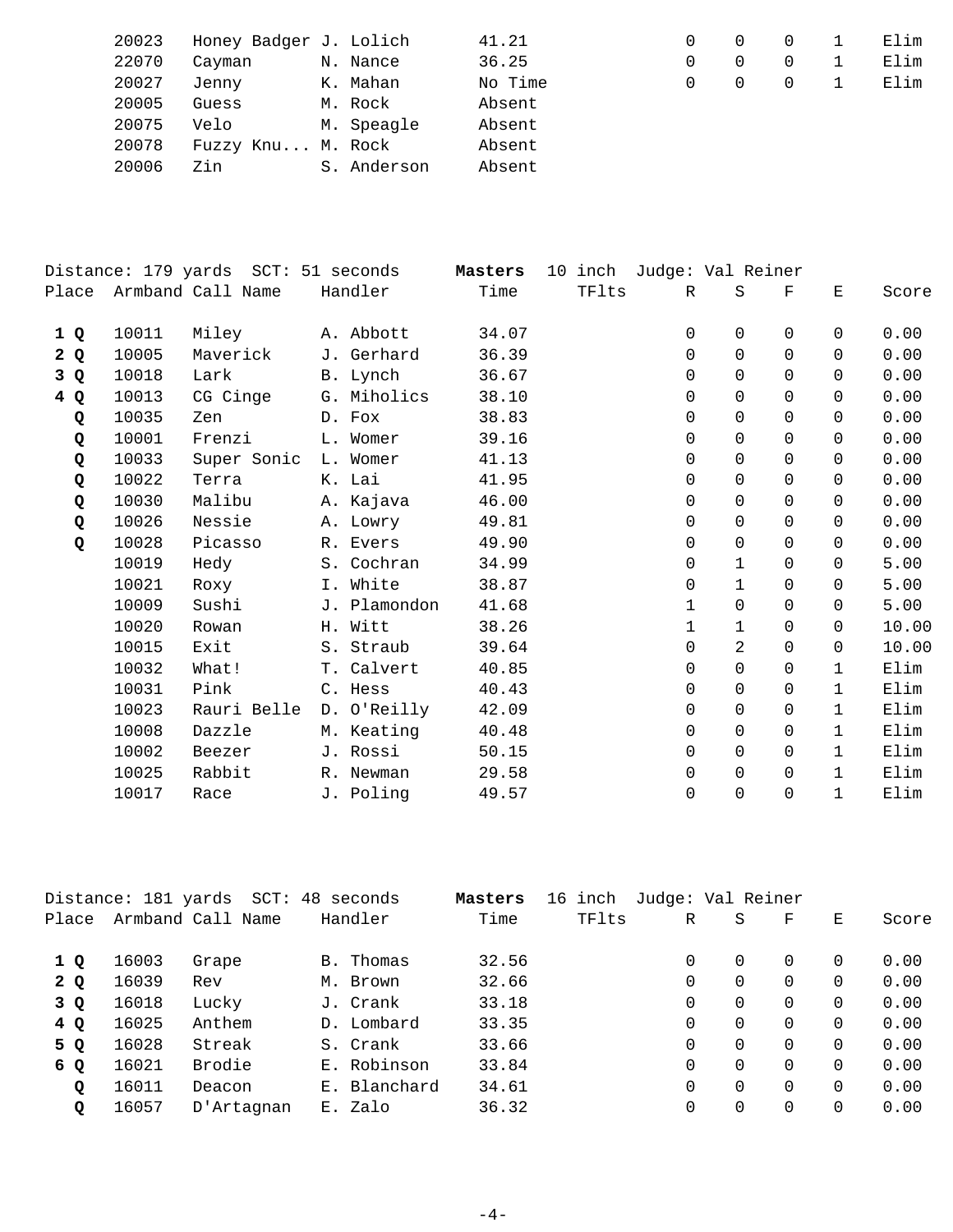| 20023 | Honey Badger J. Lolich |             | 41.21   |   | $\Omega$ | Elim |
|-------|------------------------|-------------|---------|---|----------|------|
| 22070 | Cayman                 | N. Nance    | 36.25   |   | 0        | Elim |
| 20027 | Jenny                  | K. Mahan    | No Time | 0 | $\Omega$ | Elim |
| 20005 | Guess                  | M. Rock     | Absent  |   |          |      |
| 20075 | Velo                   | M. Speagle  | Absent  |   |          |      |
| 20078 | Fuzzy Knu M. Rock      |             | Absent  |   |          |      |
| 20006 | Zin                    | S. Anderson | Absent  |   |          |      |

| Distance: 179 yards SCT: 51 seconds |       |                         |              | Masters | 10 inch Judge: Val Reiner |              |                |          |              |       |
|-------------------------------------|-------|-------------------------|--------------|---------|---------------------------|--------------|----------------|----------|--------------|-------|
|                                     |       | Place Armband Call Name | Handler      | Time    | TFlts                     | $\mathbb{R}$ | S              | F        | Е            | Score |
| 1 Q                                 | 10011 | Miley                   | A. Abbott    | 34.07   |                           | 0            | $\Omega$       | $\Omega$ | 0            | 0.00  |
| 2Q                                  | 10005 | Maverick                | J. Gerhard   | 36.39   |                           | $\Omega$     | $\Omega$       | $\Omega$ | $\Omega$     | 0.00  |
| 3Q                                  | 10018 | Lark                    | B. Lynch     | 36.67   |                           | $\Omega$     | $\Omega$       | $\Omega$ | $\Omega$     | 0.00  |
| 4Q                                  | 10013 | CG Cinge                | G. Miholics  | 38.10   |                           | 0            | $\Omega$       | $\Omega$ | 0            | 0.00  |
| Q                                   | 10035 | Zen                     | D. Fox       | 38.83   |                           | 0            | $\Omega$       | $\Omega$ | $\Omega$     | 0.00  |
| Q                                   | 10001 | Frenzi                  | L. Womer     | 39.16   |                           | $\Omega$     | $\Omega$       | $\Omega$ | $\Omega$     | 0.00  |
| Q                                   | 10033 | Super Sonic L. Womer    |              | 41.13   |                           | $\Omega$     | $\Omega$       | $\Omega$ | $\Omega$     | 0.00  |
| Q                                   | 10022 | Terra                   | K. Lai       | 41.95   |                           | 0            | $\Omega$       | $\Omega$ | 0            | 0.00  |
| Q                                   | 10030 | Malibu                  | A. Kajava    | 46.00   |                           | 0            | $\Omega$       | $\Omega$ | 0            | 0.00  |
| Q                                   | 10026 | Nessie                  | A. Lowry     | 49.81   |                           | 0            | $\Omega$       | 0        | 0            | 0.00  |
| Q                                   | 10028 | Picasso                 | R. Evers     | 49.90   |                           | $\Omega$     | $\Omega$       | $\Omega$ | 0            | 0.00  |
|                                     | 10019 | Hedy                    | S. Cochran   | 34.99   |                           | $\Omega$     | $\mathbf{1}$   | $\Omega$ | $\Omega$     | 5.00  |
|                                     | 10021 | Roxy                    | I. White     | 38.87   |                           | $\Omega$     | $\mathbf{1}$   | $\Omega$ | 0            | 5.00  |
|                                     | 10009 | Sushi                   | J. Plamondon | 41.68   |                           | $\mathbf{1}$ | $\Omega$       | $\Omega$ | $\Omega$     | 5.00  |
|                                     | 10020 | Rowan                   | H. Witt      | 38.26   |                           | $\mathbf{1}$ | $\mathbf{1}$   | $\Omega$ | $\Omega$     | 10.00 |
|                                     | 10015 | Exit                    | S. Straub    | 39.64   |                           | $\Omega$     | $\overline{2}$ | $\Omega$ | $\Omega$     | 10.00 |
|                                     | 10032 | What!                   | T. Calvert   | 40.85   |                           | $\Omega$     | $\mathbf 0$    | $\Omega$ | $\mathbf{1}$ | Elim  |
|                                     | 10031 | Pink                    | C. Hess      | 40.43   |                           | 0            | 0              | 0        | $\mathbf 1$  | Elim  |
|                                     | 10023 | Rauri Belle             | D. O'Reilly  | 42.09   |                           | 0            | $\Omega$       | 0        | $\mathbf{1}$ | Elim  |
|                                     | 10008 | Dazzle                  | M. Keating   | 40.48   |                           | $\Omega$     | $\Omega$       | $\Omega$ | 1            | Elim  |
|                                     | 10002 | Beezer                  | J. Rossi     | 50.15   |                           | $\Omega$     | $\Omega$       | $\Omega$ | $\mathbf{1}$ | Elim  |
|                                     | 10025 | Rabbit                  | R. Newman    | 29.58   |                           | $\Omega$     | 0              | $\Omega$ | 1            | Elim  |
|                                     | 10017 | Race                    | J. Poling    | 49.57   |                           | 0            | $\mathbf 0$    | $\Omega$ | $\mathbf{1}$ | Elim  |
|                                     |       |                         |              |         |                           |              |                |          |              |       |

|       | Distance: 181 yards | SCT: 48           | seconds      | Masters | 16 inch | Judge: Val Reiner |          |   |          |       |
|-------|---------------------|-------------------|--------------|---------|---------|-------------------|----------|---|----------|-------|
| Place |                     | Armband Call Name | Handler      | Time    | TFlts   | $\mathbb R$       | S        | F | Е        | Score |
| 1Q    | 16003               | Grape             | B. Thomas    | 32.56   |         |                   | $\Omega$ | 0 | $\Omega$ | 0.00  |
| 2Q    | 16039               | Rev               | M. Brown     | 32.66   |         | 0                 | 0        | 0 | 0        | 0.00  |
| 3 Q   | 16018               | Lucky             | J. Crank     | 33.18   |         |                   | $\Omega$ | 0 | $\Omega$ | 0.00  |
| 4 Q   | 16025               | Anthem            | D. Lombard   | 33.35   |         |                   | $\Omega$ | 0 | $\Omega$ | 0.00  |
| 5 Q   | 16028               | Streak            | S. Crank     | 33.66   |         |                   | $\Omega$ | 0 | $\Omega$ | 0.00  |
| 6 Q   | 16021               | Brodie            | E. Robinson  | 33.84   |         |                   | $\Omega$ | 0 | $\Omega$ | 0.00  |
| Q     | 16011               | Deacon            | E. Blanchard | 34.61   |         |                   | $\Omega$ | 0 | $\Omega$ | 0.00  |
| Q     | 16057               | D'Artagnan        | E. Zalo      | 36.32   |         |                   | 0        | 0 | 0        | 0.00  |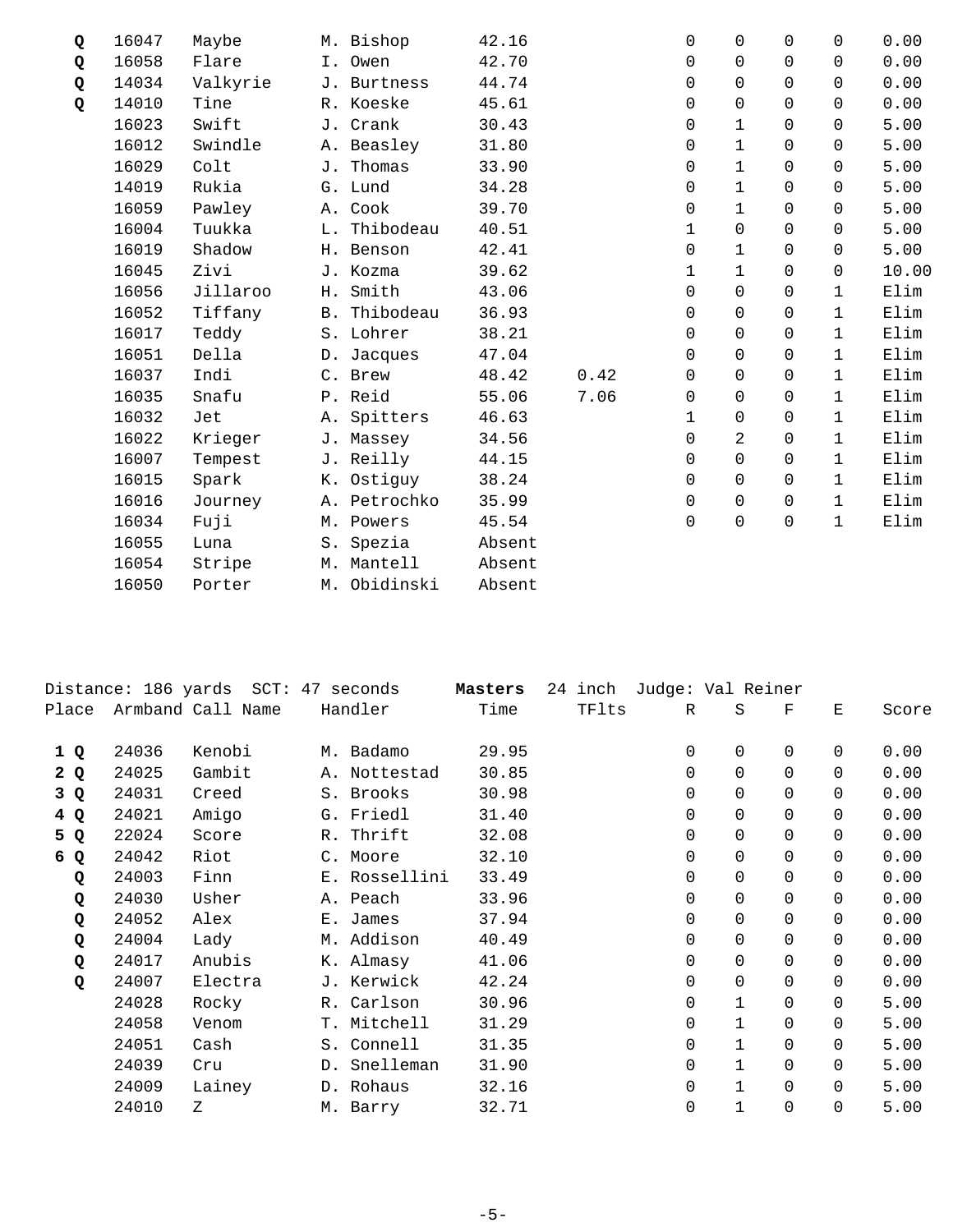| Q | 16047 | Maybe    | M. Bishop    | 42.16  |      | 0            | $\Omega$       | $\Omega$ | $\Omega$     | 0.00  |
|---|-------|----------|--------------|--------|------|--------------|----------------|----------|--------------|-------|
| Q | 16058 | Flare    | I. Owen      | 42.70  |      | $\Omega$     | $\Omega$       | $\Omega$ | $\Omega$     | 0.00  |
| Q | 14034 | Valkyrie | J. Burtness  | 44.74  |      | 0            | $\Omega$       | $\Omega$ | $\Omega$     | 0.00  |
| Q | 14010 | Tine     | R. Koeske    | 45.61  |      | 0            | $\Omega$       | $\Omega$ | $\Omega$     | 0.00  |
|   | 16023 | Swift    | J. Crank     | 30.43  |      | 0            | $\mathbf{1}$   | $\Omega$ | $\Omega$     | 5.00  |
|   | 16012 | Swindle  | A. Beasley   | 31.80  |      | 0            | $\mathbf{1}$   | $\Omega$ | $\Omega$     | 5.00  |
|   | 16029 | Colt     | J. Thomas    | 33.90  |      | 0            | $\mathbf 1$    | $\Omega$ | $\Omega$     | 5.00  |
|   | 14019 | Rukia    | G. Lund      | 34.28  |      | $\Omega$     | $\mathbf 1$    | $\Omega$ | $\Omega$     | 5.00  |
|   | 16059 | Pawley   | A. Cook      | 39.70  |      | $\Omega$     | $\mathbf{1}$   | $\Omega$ | $\Omega$     | 5.00  |
|   | 16004 | Tuukka   | L. Thibodeau | 40.51  |      | $\mathbf{1}$ | $\Omega$       | $\Omega$ | $\Omega$     | 5.00  |
|   | 16019 | Shadow   | H. Benson    | 42.41  |      | 0            | $\mathbf 1$    | $\Omega$ | $\mathsf{O}$ | 5.00  |
|   | 16045 | Zivi     | J. Kozma     | 39.62  |      | 1            | $\mathbf{1}$   | $\Omega$ | $\Omega$     | 10.00 |
|   | 16056 | Jillaroo | H. Smith     | 43.06  |      | $\Omega$     | $\Omega$       | $\Omega$ | $\mathbf{1}$ | Elim  |
|   | 16052 | Tiffany  | B. Thibodeau | 36.93  |      | 0            | $\mathsf{O}$   | $\Omega$ | $\mathbf{1}$ | Elim  |
|   | 16017 | Teddy    | S. Lohrer    | 38.21  |      | 0            | $\mathbf 0$    | $\Omega$ | $\mathbf{1}$ | Elim  |
|   | 16051 | Della    | D. Jacques   | 47.04  |      | 0            | $\Omega$       | $\Omega$ | $\mathbf{1}$ | Elim  |
|   | 16037 | Indi     | C. Brew      | 48.42  | 0.42 | 0            | $\Omega$       | $\Omega$ | $\mathbf{1}$ | Elim  |
|   | 16035 | Snafu    | P. Reid      | 55.06  | 7.06 | 0            | $\mathbf 0$    | $\Omega$ | $\mathbf{1}$ | Elim  |
|   | 16032 | Jet      | A. Spitters  | 46.63  |      | 1            | $\Omega$       | $\Omega$ | $\mathbf{1}$ | Elim  |
|   | 16022 | Krieger  | J. Massey    | 34.56  |      | $\Omega$     | $\overline{2}$ | $\Omega$ | $\mathbf{1}$ | Elim  |
|   | 16007 | Tempest  | J. Reilly    | 44.15  |      | $\Omega$     | $\Omega$       | $\Omega$ | $\mathbf{1}$ | Elim  |
|   | 16015 | Spark    | K. Ostiguy   | 38.24  |      | 0            | $\mathbf 0$    | 0        | $\mathbf{1}$ | Elim  |
|   | 16016 | Journey  | A. Petrochko | 35.99  |      | 0            | 0              | $\Omega$ | $\mathbf{1}$ | Elim  |
|   | 16034 | Fuji     | M. Powers    | 45.54  |      | $\Omega$     | $\Omega$       | 0        | 1            | Elim  |
|   | 16055 | Luna     | S. Spezia    | Absent |      |              |                |          |              |       |
|   | 16054 | Stripe   | M. Mantell   | Absent |      |              |                |          |              |       |
|   | 16050 | Porter   | M. Obidinski | Absent |      |              |                |          |              |       |
|   |       |          |              |        |      |              |                |          |              |       |

|       |       | Distance: 186 yards SCT: 47 seconds |       |               | Masters | 24 | inch  | Judge: Val Reiner |              |          |          |       |
|-------|-------|-------------------------------------|-------|---------------|---------|----|-------|-------------------|--------------|----------|----------|-------|
| Place |       | Armband Call Name                   |       | Handler       | Time    |    | TFlts | R                 | S            | F        | E        | Score |
| 1 Q   | 24036 | Kenobi                              |       | M. Badamo     | 29.95   |    |       | $\mathbf 0$       | 0            | $\Omega$ | 0        | 0.00  |
| 2Q    | 24025 | Gambit                              |       | A. Nottestad  | 30.85   |    |       | 0                 | $\Omega$     | $\Omega$ | 0        | 0.00  |
| 3Q    | 24031 | Creed                               |       | S. Brooks     | 30.98   |    |       | $\Omega$          | 0            | $\Omega$ | 0        | 0.00  |
| 4Q    | 24021 | Amigo                               |       | G. Friedl     | 31.40   |    |       | 0                 | 0            | $\Omega$ | 0        | 0.00  |
| 5 Q   | 22024 | Score                               |       | R. Thrift     | 32.08   |    |       | 0                 | 0            | $\Omega$ | 0        | 0.00  |
| 6 Q   | 24042 | Riot                                |       | C. Moore      | 32.10   |    |       | 0                 | 0            | $\Omega$ | 0        | 0.00  |
| Q     | 24003 | Finn                                |       | E. Rossellini | 33.49   |    |       | 0                 | 0            | $\Omega$ | 0        | 0.00  |
| Q     | 24030 | Usher                               |       | A. Peach      | 33.96   |    |       | $\Omega$          | 0            | $\Omega$ | $\Omega$ | 0.00  |
| Q     | 24052 | Alex                                |       | E. James      | 37.94   |    |       | $\Omega$          | $\Omega$     | $\Omega$ | 0        | 0.00  |
| Q     | 24004 | Lady                                |       | M. Addison    | 40.49   |    |       | $\mathbf 0$       | 0            | $\Omega$ | 0        | 0.00  |
| Q     | 24017 | Anubis                              |       | K. Almasy     | 41.06   |    |       | 0                 | 0            | $\Omega$ | 0        | 0.00  |
| Q     | 24007 | Electra                             |       | J. Kerwick    | 42.24   |    |       | $\Omega$          | 0            | $\Omega$ | 0        | 0.00  |
|       | 24028 | Rocky                               |       | R. Carlson    | 30.96   |    |       | $\Omega$          | $\mathbf{1}$ | $\Omega$ | $\Omega$ | 5.00  |
|       | 24058 | Venom                               | $T$ . | Mitchell      | 31.29   |    |       | $\Omega$          | $\mathbf{1}$ | $\Omega$ | 0        | 5.00  |
|       | 24051 | Cash                                |       | S. Connell    | 31.35   |    |       | $\mathbf 0$       | $\mathbf{1}$ | $\Omega$ | $\Omega$ | 5.00  |
|       | 24039 | Cru                                 |       | D. Snelleman  | 31.90   |    |       | 0                 | 1            | $\Omega$ | 0        | 5.00  |
|       | 24009 | Lainey                              |       | D. Rohaus     | 32.16   |    |       | $\mathbf 0$       | $\mathbf{1}$ | $\Omega$ | 0        | 5.00  |
|       | 24010 | Z                                   |       | M. Barry      | 32.71   |    |       | 0                 | 1            | $\Omega$ | 0        | 5.00  |
|       |       |                                     |       |               |         |    |       |                   |              |          |          |       |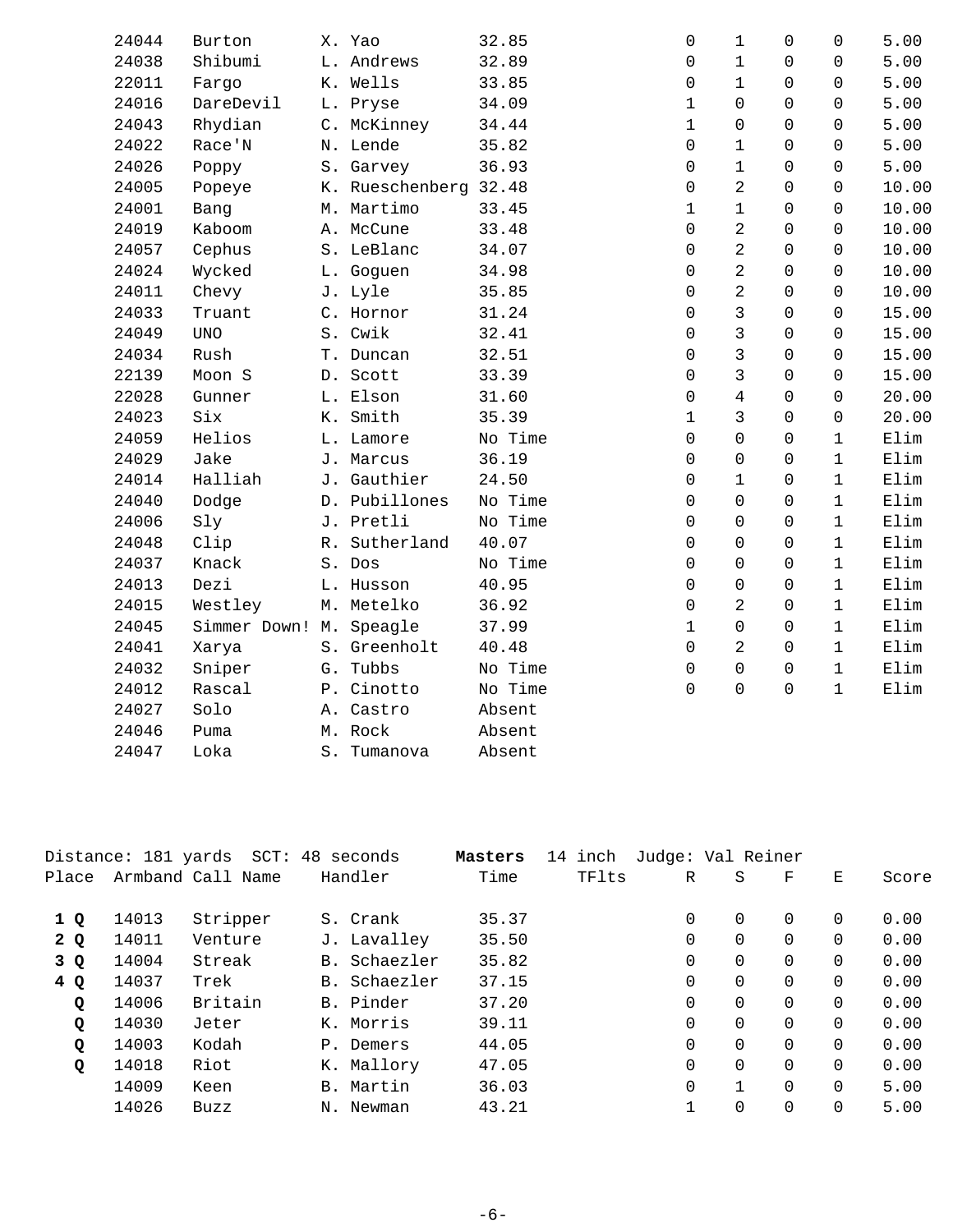| 24044 | Burton                  | X. Yao                | 32.85   | $\mathbf 0$  | $\mathbf{1}$   | $\Omega$    | 0            | 5.00  |
|-------|-------------------------|-----------------------|---------|--------------|----------------|-------------|--------------|-------|
| 24038 | Shibumi                 | L. Andrews            | 32.89   | 0            | $\mathbf{1}$   | $\Omega$    | 0            | 5.00  |
| 22011 | Fargo                   | K. Wells              | 33.85   | 0            | $\mathbf{1}$   | $\Omega$    | $\Omega$     | 5.00  |
| 24016 | DareDevil               | L. Pryse              | 34.09   | $\mathbf 1$  | $\Omega$       | $\Omega$    | $\Omega$     | 5.00  |
| 24043 | Rhydian                 | C. McKinney           | 34.44   | $\mathbf 1$  | $\Omega$       | $\Omega$    | $\Omega$     | 5.00  |
| 24022 | Race'N                  | N. Lende              | 35.82   | 0            | $\mathbf{1}$   | $\Omega$    | $\Omega$     | 5.00  |
| 24026 | Poppy                   | S. Garvey             | 36.93   | 0            | $\mathbf{1}$   | $\mathbf 0$ | 0            | 5.00  |
| 24005 | Popeye                  | K. Rueschenberg 32.48 |         | 0            | $\overline{2}$ | $\Omega$    | $\Omega$     | 10.00 |
| 24001 | Bang                    | M. Martimo            | 33.45   | $\mathbf 1$  | $\mathbf{1}$   | $\Omega$    | 0            | 10.00 |
| 24019 | Kaboom                  | A. McCune             | 33.48   | 0            | $\overline{2}$ | $\Omega$    | $\Omega$     | 10.00 |
| 24057 | Cephus                  | S. LeBlanc            | 34.07   | 0            | $\overline{a}$ | $\Omega$    | $\Omega$     | 10.00 |
| 24024 | Wycked                  | L. Goguen             | 34.98   | 0            | $\overline{2}$ | $\Omega$    | $\Omega$     | 10.00 |
| 24011 | Chevy                   | J. Lyle               | 35.85   | 0            | $\overline{2}$ | $\Omega$    | $\Omega$     | 10.00 |
| 24033 | Truant                  | C. Hornor             | 31.24   | 0            | 3              | $\Omega$    | $\Omega$     | 15.00 |
| 24049 | <b>UNO</b>              | S. Cwik               | 32.41   | 0            | $\overline{3}$ | $\Omega$    | $\Omega$     | 15.00 |
| 24034 | Rush                    | T. Duncan             | 32.51   | 0            | $\mathbf{3}$   | $\Omega$    | $\Omega$     | 15.00 |
| 22139 | Moon S                  | D. Scott              | 33.39   | 0            | $\mathfrak{Z}$ | $\Omega$    | $\Omega$     | 15.00 |
| 22028 | Gunner                  | L. Elson              | 31.60   | 0            | $\overline{4}$ | $\Omega$    | $\Omega$     | 20.00 |
| 24023 | Six                     | K. Smith              | 35.39   | $\mathbf{1}$ | 3              | $\Omega$    | $\Omega$     | 20.00 |
| 24059 | Helios                  | L. Lamore             | No Time | 0            | $\Omega$       | $\Omega$    | $\mathbf{1}$ | Elim  |
| 24029 | Jake                    | J. Marcus             | 36.19   | 0            | 0              | $\Omega$    | $\mathbf{1}$ | Elim  |
| 24014 | Halliah                 | J. Gauthier           | 24.50   | 0            | 1              | $\Omega$    | 1            | Elim  |
| 24040 | Dodge                   | D. Pubillones         | No Time | 0            | $\Omega$       | $\Omega$    | $\mathbf{1}$ | Elim  |
| 24006 | Sly                     | J. Pretli             | No Time | 0            | 0              | $\Omega$    | $\mathbf{1}$ | Elim  |
| 24048 | Clip                    | R. Sutherland         | 40.07   | 0            | $\Omega$       | $\Omega$    | $\mathbf{1}$ | Elim  |
| 24037 | Knack                   | S. Dos                | No Time | 0            | $\Omega$       | $\Omega$    | $\mathbf{1}$ | Elim  |
| 24013 | Dezi                    | L. Husson             | 40.95   | 0            | $\mathbf 0$    | $\Omega$    | $\mathbf{1}$ | Elim  |
| 24015 | Westley                 | M. Metelko            | 36.92   | 0            | $\overline{2}$ | $\mathbf 0$ | $\mathbf{1}$ | Elim  |
| 24045 | Simmer Down! M. Speagle |                       | 37.99   | $\mathbf 1$  | $\overline{0}$ | $\Omega$    | $\mathbf{1}$ | Elim  |
| 24041 | Xarya                   | S. Greenholt          | 40.48   | 0            | $\overline{a}$ | $\Omega$    | $\mathbf{1}$ | Elim  |
| 24032 | Sniper                  | G. Tubbs              | No Time | 0            | $\Omega$       | $\Omega$    | $\mathbf{1}$ | Elim  |
| 24012 | Rascal                  | P. Cinotto            | No Time | 0            | 0              | $\Omega$    | $\mathbf{1}$ | Elim  |
| 24027 | Solo                    | A. Castro             | Absent  |              |                |             |              |       |
| 24046 | Puma                    | M. Rock               | Absent  |              |                |             |              |       |
| 24047 | Loka                    | S. Tumanova           | Absent  |              |                |             |              |       |

|       |       | Distance: 181 yards SCT: 48 seconds |              | Masters | 14 inch | Judge: Val Reiner |          |          |          |       |
|-------|-------|-------------------------------------|--------------|---------|---------|-------------------|----------|----------|----------|-------|
| Place |       | Armband Call Name                   | Handler      | Time    | TFlts   | R                 | S        | F        | E.       | Score |
| 1Q    | 14013 | Stripper                            | S. Crank     | 35.37   |         | $\Omega$          | $\Omega$ | $\Omega$ | $\Omega$ | 0.00  |
| 2Q    | 14011 | Venture                             | J. Lavalley  | 35.50   |         | 0                 | $\Omega$ | $\Omega$ | $\Omega$ | 0.00  |
| 3 Q   | 14004 | Streak                              | B. Schaezler | 35.82   |         | 0                 | 0        | $\Omega$ | $\Omega$ | 0.00  |
| 4Q    | 14037 | Trek                                | B. Schaezler | 37.15   |         | $\mathbf 0$       | $\Omega$ | $\Omega$ | $\Omega$ | 0.00  |
| Q     | 14006 | Britain                             | B. Pinder    | 37.20   |         | $\mathbf 0$       | $\Omega$ | $\Omega$ | $\Omega$ | 0.00  |
| Q     | 14030 | Jeter                               | K. Morris    | 39.11   |         | 0                 | $\Omega$ | $\Omega$ | $\Omega$ | 0.00  |
| Q     | 14003 | Kodah                               | P. Demers    | 44.05   |         | $\Omega$          | $\Omega$ | $\Omega$ | $\Omega$ | 0.00  |
| Q     | 14018 | Riot                                | K. Mallory   | 47.05   |         | $\Omega$          | $\Omega$ | $\Omega$ | $\Omega$ | 0.00  |
|       | 14009 | Keen                                | B. Martin    | 36.03   |         | $\mathbf 0$       |          | $\Omega$ | $\Omega$ | 5.00  |
|       | 14026 | Buzz                                | N. Newman    | 43.21   |         | 1                 | 0        | 0        | $\Omega$ | 5.00  |
|       |       |                                     |              |         |         |                   |          |          |          |       |